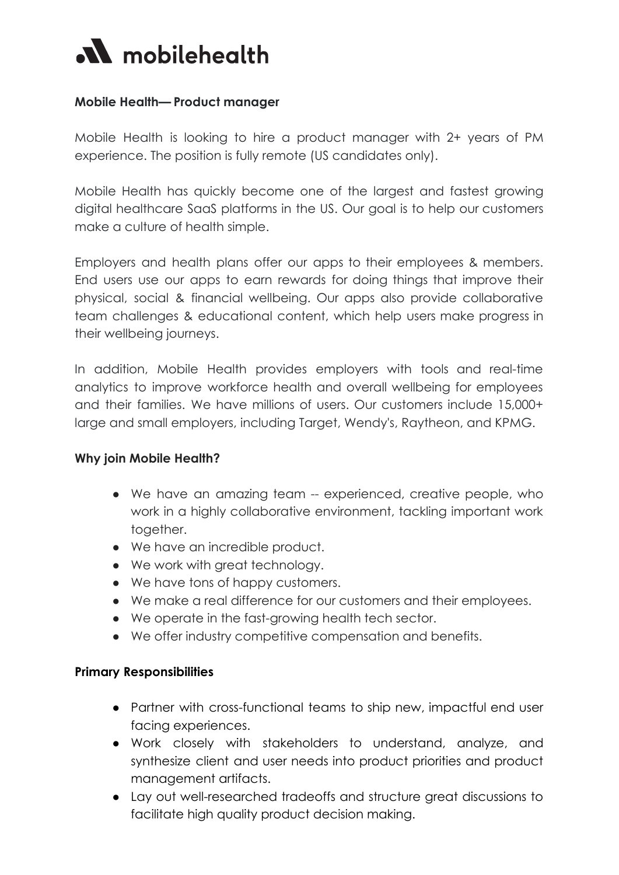

## **Mobile Health— Product manager**

Mobile Health is looking to hire a product manager with 2+ years of PM experience. The position is fully remote (US candidates only).

Mobile Health has quickly become one of the largest and fastest growing digital healthcare SaaS platforms in the US. Our goal is to help our customers make a culture of health simple.

Employers and health plans offer our apps to their employees & members. End users use our apps to earn rewards for doing things that improve their physical, social & financial wellbeing. Our apps also provide collaborative team challenges & educational content, which help users make progress in their wellbeing journeys.

In addition, Mobile Health provides employers with tools and real-time analytics to improve workforce health and overall wellbeing for employees and their families. We have millions of users. Our customers include 15,000+ large and small employers, including Target, Wendy's, Raytheon, and KPMG.

### **Why join Mobile Health?**

- We have an amazing team -- experienced, creative people, who work in a highly collaborative environment, tackling important work together.
- We have an incredible product.
- We work with great technology.
- We have tons of happy customers.
- We make a real difference for our customers and their employees.
- We operate in the fast-growing health tech sector.
- We offer industry competitive compensation and benefits.

### **Primary Responsibilities**

- Partner with cross-functional teams to ship new, impactful end user facing experiences.
- Work closely with stakeholders to understand, analyze, and synthesize client and user needs into product priorities and product management artifacts.
- Lay out well-researched tradeoffs and structure great discussions to facilitate high quality product decision making.